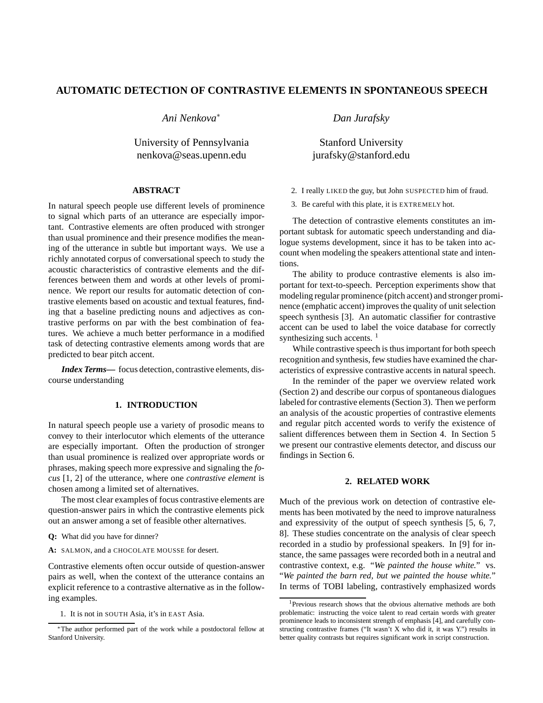# **AUTOMATIC DETECTION OF CONTRASTIVE ELEMENTS IN SPONTANEOUS SPEECH**

*Ani Nenkova*<sup>∗</sup>

University of Pennsylvania nenkova@seas.upenn.edu

## **ABSTRACT**

In natural speech people use different levels of prominence to signal which parts of an utterance are especially important. Contrastive elements are often produced with stronger than usual prominence and their presence modifies the meaning of the utterance in subtle but important ways. We use a richly annotated corpus of conversational speech to study the acoustic characteristics of contrastive elements and the differences between them and words at other levels of prominence. We report our results for automatic detection of contrastive elements based on acoustic and textual features, finding that a baseline predicting nouns and adjectives as contrastive performs on par with the best combination of features. We achieve a much better performance in a modified task of detecting contrastive elements among words that are predicted to bear pitch accent.

*Index Terms***—** focus detection, contrastive elements, discourse understanding

# **1. INTRODUCTION**

In natural speech people use a variety of prosodic means to convey to their interlocutor which elements of the utterance are especially important. Often the production of stronger than usual prominence is realized over appropriate words or phrases, making speech more expressive and signaling the *focus* [1, 2] of the utterance, where one *contrastive element* is chosen among a limited set of alternatives.

The most clear examples of focus contrastive elements are question-answer pairs in which the contrastive elements pick out an answer among a set of feasible other alternatives.

- **Q:** What did you have for dinner?
- **A:** SALMON, and a CHOCOLATE MOUSSE for desert.

Contrastive elements often occur outside of question-answer pairs as well, when the context of the utterance contains an explicit reference to a contrastive alternative as in the following examples.

1. It is not in SOUTH Asia, it's in EAST Asia.

*Dan Jurafsky*

Stanford University jurafsky@stanford.edu

- 2. I really LIKED the guy, but John SUSPECTED him of fraud.
- 3. Be careful with this plate, it is EXTREMELY hot.

The detection of contrastive elements constitutes an important subtask for automatic speech understanding and dialogue systems development, since it has to be taken into account when modeling the speakers attentional state and intentions.

The ability to produce contrastive elements is also important for text-to-speech. Perception experiments show that modeling regular prominence (pitch accent) and stronger prominence (emphatic accent) improves the quality of unit selection speech synthesis [3]. An automatic classifier for contrastive accent can be used to label the voice database for correctly synthesizing such accents.  $<sup>1</sup>$ </sup>

While contrastive speech is thus important for both speech recognition and synthesis, few studies have examined the characteristics of expressive contrastive accents in natural speech.

In the reminder of the paper we overview related work (Section 2) and describe our corpus of spontaneous dialogues labeled for contrastive elements (Section 3). Then we perform an analysis of the acoustic properties of contrastive elements and regular pitch accented words to verify the existence of salient differences between them in Section 4. In Section 5 we present our contrastive elements detector, and discuss our findings in Section 6.

#### **2. RELATED WORK**

Much of the previous work on detection of contrastive elements has been motivated by the need to improve naturalness and expressivity of the output of speech synthesis [5, 6, 7, 8]. These studies concentrate on the analysis of clear speech recorded in a studio by professional speakers. In [9] for instance, the same passages were recorded both in a neutral and contrastive context, e.g. "*We painted the house white.*" vs. "*We painted the barn red, but we painted the house white.*" In terms of TOBI labeling, contrastively emphasized words

<sup>∗</sup>The author performed part of the work while a postdoctoral fellow at Stanford University.

<sup>&</sup>lt;sup>1</sup>Previous research shows that the obvious alternative methods are both problematic: instructing the voice talent to read certain words with greater prominence leads to inconsistent strength of emphasis [4], and carefully constructing contrastive frames ("It wasn't X who did it, it was Y.") results in better quality contrasts but requires significant work in script construction.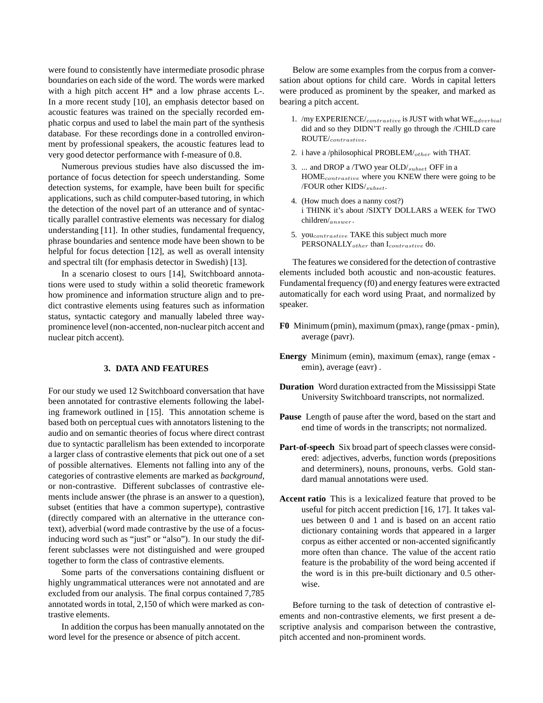were found to consistently have intermediate prosodic phrase boundaries on each side of the word. The words were marked with a high pitch accent  $H^*$  and a low phrase accents L-. In a more recent study [10], an emphasis detector based on acoustic features was trained on the specially recorded emphatic corpus and used to label the main part of the synthesis database. For these recordings done in a controlled environment by professional speakers, the acoustic features lead to very good detector performance with f-measure of 0.8.

Numerous previous studies have also discussed the importance of focus detection for speech understanding. Some detection systems, for example, have been built for specific applications, such as child computer-based tutoring, in which the detection of the novel part of an utterance and of syntactically parallel contrastive elements was necessary for dialog understanding [11]. In other studies, fundamental frequency, phrase boundaries and sentence mode have been shown to be helpful for focus detection [12], as well as overall intensity and spectral tilt (for emphasis detector in Swedish) [13].

In a scenario closest to ours [14], Switchboard annotations were used to study within a solid theoretic framework how prominence and information structure align and to predict contrastive elements using features such as information status, syntactic category and manually labeled three wayprominence level (non-accented, non-nuclear pitch accent and nuclear pitch accent).

### **3. DATA AND FEATURES**

For our study we used 12 Switchboard conversation that have been annotated for contrastive elements following the labeling framework outlined in [15]. This annotation scheme is based both on perceptual cues with annotators listening to the audio and on semantic theories of focus where direct contrast due to syntactic parallelism has been extended to incorporate a larger class of contrastive elements that pick out one of a set of possible alternatives. Elements not falling into any of the categories of contrastive elements are marked as *background*, or non-contrastive. Different subclasses of contrastive elements include answer (the phrase is an answer to a question), subset (entities that have a common supertype), contrastive (directly compared with an alternative in the utterance context), adverbial (word made contrastive by the use of a focusinducing word such as "just" or "also"). In our study the different subclasses were not distinguished and were grouped together to form the class of contrastive elements.

Some parts of the conversations containing disfluent or highly ungrammatical utterances were not annotated and are excluded from our analysis. The final corpus contained 7,785 annotated words in total, 2,150 of which were marked as contrastive elements.

In addition the corpus has been manually annotated on the word level for the presence or absence of pitch accent.

Below are some examples from the corpus from a conversation about options for child care. Words in capital letters were produced as prominent by the speaker, and marked as bearing a pitch accent.

- 1. /my EXPERIENCE/ $_{contrastive}$  is JUST with what  $WE_{adverbial}$ did and so they DIDN'T really go through the /CHILD care ROUTE/contrastive.
- 2. i have a /philosophical PROBLEM/ $_{other}$  with THAT.
- 3. ... and DROP a /TWO year OLD/<sub>subset</sub> OFF in a HOMEcontrastive where you KNEW there were going to be /FOUR other KIDS/subset.
- 4. (How much does a nanny cost?) i THINK it's about /SIXTY DOLLARS a WEEK for TWO children/answer .
- 5. you<sub>contrastive</sub> TAKE this subject much more PERSONALLY<sub>other</sub> than I<sub>contrastive</sub> do.

The features we considered for the detection of contrastive elements included both acoustic and non-acoustic features. Fundamental frequency (f0) and energy features were extracted automatically for each word using Praat, and normalized by speaker.

- **F0** Minimum (pmin), maximum (pmax), range (pmax pmin), average (pavr).
- **Energy** Minimum (emin), maximum (emax), range (emax emin), average (eavr) .
- **Duration** Word duration extracted from the Mississippi State University Switchboard transcripts, not normalized.
- **Pause** Length of pause after the word, based on the start and end time of words in the transcripts; not normalized.
- **Part-of-speech** Six broad part of speech classes were considered: adjectives, adverbs, function words (prepositions and determiners), nouns, pronouns, verbs. Gold standard manual annotations were used.
- **Accent ratio** This is a lexicalized feature that proved to be useful for pitch accent prediction [16, 17]. It takes values between 0 and 1 and is based on an accent ratio dictionary containing words that appeared in a larger corpus as either accented or non-accented significantly more often than chance. The value of the accent ratio feature is the probability of the word being accented if the word is in this pre-built dictionary and 0.5 otherwise.

Before turning to the task of detection of contrastive elements and non-contrastive elements, we first present a descriptive analysis and comparison between the contrastive, pitch accented and non-prominent words.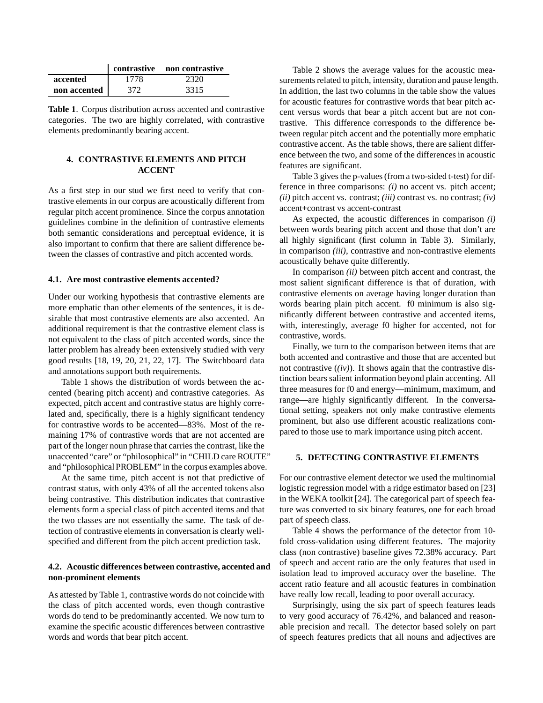|              |      | contrastive non contrastive |
|--------------|------|-----------------------------|
| accented     | 1778 | 2320                        |
| non accented | 372  | 3315                        |

**Table 1**. Corpus distribution across accented and contrastive categories. The two are highly correlated, with contrastive elements predominantly bearing accent.

## **4. CONTRASTIVE ELEMENTS AND PITCH ACCENT**

As a first step in our stud we first need to verify that contrastive elements in our corpus are acoustically different from regular pitch accent prominence. Since the corpus annotation guidelines combine in the definition of contrastive elements both semantic considerations and perceptual evidence, it is also important to confirm that there are salient difference between the classes of contrastive and pitch accented words.

### **4.1. Are most contrastive elements accented?**

Under our working hypothesis that contrastive elements are more emphatic than other elements of the sentences, it is desirable that most contrastive elements are also accented. An additional requirement is that the contrastive element class is not equivalent to the class of pitch accented words, since the latter problem has already been extensively studied with very good results [18, 19, 20, 21, 22, 17]. The Switchboard data and annotations support both requirements.

Table 1 shows the distribution of words between the accented (bearing pitch accent) and contrastive categories. As expected, pitch accent and contrastive status are highly correlated and, specifically, there is a highly significant tendency for contrastive words to be accented—83%. Most of the remaining 17% of contrastive words that are not accented are part of the longer noun phrase that carries the contrast, like the unaccented "care" or "philosophical" in "CHILD care ROUTE" and "philosophical PROBLEM" in the corpus examples above.

At the same time, pitch accent is not that predictive of contrast status, with only 43% of all the accented tokens also being contrastive. This distribution indicates that contrastive elements form a special class of pitch accented items and that the two classes are not essentially the same. The task of detection of contrastive elements in conversation is clearly wellspecified and different from the pitch accent prediction task.

### **4.2. Acoustic differences between contrastive, accented and non-prominent elements**

As attested by Table 1, contrastive words do not coincide with the class of pitch accented words, even though contrastive words do tend to be predominantly accented. We now turn to examine the specific acoustic differences between contrastive words and words that bear pitch accent.

Table 2 shows the average values for the acoustic measurements related to pitch, intensity, duration and pause length. In addition, the last two columns in the table show the values for acoustic features for contrastive words that bear pitch accent versus words that bear a pitch accent but are not contrastive. This difference corresponds to the difference between regular pitch accent and the potentially more emphatic contrastive accent. As the table shows, there are salient difference between the two, and some of the differences in acoustic features are significant.

Table 3 gives the p-values (from a two-sided t-test) for difference in three comparisons: *(i)* no accent vs. pitch accent; *(ii)* pitch accent vs. contrast; *(iii)* contrast vs. no contrast; *(iv)* accent+contrast vs accent-contrast

As expected, the acoustic differences in comparison *(i)* between words bearing pitch accent and those that don't are all highly significant (first column in Table 3). Similarly, in comparison *(iii)*, contrastive and non-contrastive elements acoustically behave quite differently.

In comparison *(ii)* between pitch accent and contrast, the most salient significant difference is that of duration, with contrastive elements on average having longer duration than words bearing plain pitch accent. f0 minimum is also significantly different between contrastive and accented items, with, interestingly, average f0 higher for accented, not for contrastive, words.

Finally, we turn to the comparison between items that are both accented and contrastive and those that are accented but not contrastive (*(iv)*). It shows again that the contrastive distinction bears salient information beyond plain accenting. All three measures for f0 and energy—minimum, maximum, and range—are highly significantly different. In the conversational setting, speakers not only make contrastive elements prominent, but also use different acoustic realizations compared to those use to mark importance using pitch accent.

#### **5. DETECTING CONTRASTIVE ELEMENTS**

For our contrastive element detector we used the multinomial logistic regression model with a ridge estimator based on [23] in the WEKA toolkit [24]. The categorical part of speech feature was converted to six binary features, one for each broad part of speech class.

Table 4 shows the performance of the detector from 10 fold cross-validation using different features. The majority class (non contrastive) baseline gives 72.38% accuracy. Part of speech and accent ratio are the only features that used in isolation lead to improved accuracy over the baseline. The accent ratio feature and all acoustic features in combination have really low recall, leading to poor overall accuracy.

Surprisingly, using the six part of speech features leads to very good accuracy of 76.42%, and balanced and reasonable precision and recall. The detector based solely on part of speech features predicts that all nouns and adjectives are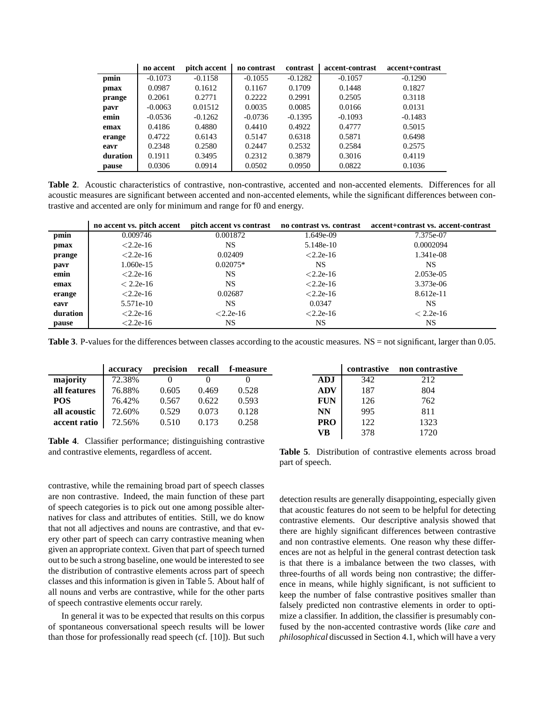|          | no accent | pitch accent | no contrast | contrast  | accent-contrast | accent+contrast |
|----------|-----------|--------------|-------------|-----------|-----------------|-----------------|
| pmin     | $-0.1073$ | $-0.1158$    | $-0.1055$   | $-0.1282$ | $-0.1057$       | $-0.1290$       |
| pmax     | 0.0987    | 0.1612       | 0.1167      | 0.1709    | 0.1448          | 0.1827          |
| prange   | 0.2061    | 0.2771       | 0.2222      | 0.2991    | 0.2505          | 0.3118          |
| pavr     | $-0.0063$ | 0.01512      | 0.0035      | 0.0085    | 0.0166          | 0.0131          |
| emin     | $-0.0536$ | $-0.1262$    | $-0.0736$   | $-0.1395$ | $-0.1093$       | $-0.1483$       |
| emax     | 0.4186    | 0.4880       | 0.4410      | 0.4922    | 0.4777          | 0.5015          |
| erange   | 0.4722    | 0.6143       | 0.5147      | 0.6318    | 0.5871          | 0.6498          |
| eavr     | 0.2348    | 0.2580       | 0.2447      | 0.2532    | 0.2584          | 0.2575          |
| duration | 0.1911    | 0.3495       | 0.2312      | 0.3879    | 0.3016          | 0.4119          |
| pause    | 0.0306    | 0.0914       | 0.0502      | 0.0950    | 0.0822          | 0.1036          |

**Table 2**. Acoustic characteristics of contrastive, non-contrastive, accented and non-accented elements. Differences for all acoustic measures are significant between accented and non-accented elements, while the significant differences between contrastive and accented are only for minimum and range for f0 and energy.

|          | no accent vs. pitch accent |             | pitch accent vs contrast no contrast vs. contrast | accent+contrast vs. accent-contrast |
|----------|----------------------------|-------------|---------------------------------------------------|-------------------------------------|
| pmin     | 0.009746                   | 0.001872    | 1.649e-09                                         | 7.375e-07                           |
| pmax     | $< 2.2e-16$                | NS.         | 5.148e-10                                         | 0.0002094                           |
| prange   | $< 2.2e-16$                | 0.02409     | $< 2.2e-16$                                       | 1.341e-08                           |
| pavr     | $1.060e-15$                | $0.02075*$  | NS.                                               | NS                                  |
| emin     | $< 2.2e-16$                | NS.         | $< 2.2e-16$                                       | $2.053e-05$                         |
| emax     | $< 2.2e-16$                | NS.         | $< 2.2e-16$                                       | 3.373e-06                           |
| erange   | $< 2.2e-16$                | 0.02687     | $< 2.2e-16$                                       | $8.612e-11$                         |
| eavr     | 5.571e-10                  | NS.         | 0.0347                                            | NS.                                 |
| duration | $< 2.2e-16$                | $< 2.2e-16$ | $< 2.2e-16$                                       | $< 2.2e-16$                         |
| pause    | $< 2.2e-16$                | NS.         | NS.                                               | NS.                                 |

Table 3. P-values for the differences between classes according to the acoustic measures. NS = not significant, larger than 0.05.

| accuracy | precision | recall | f-measure |
|----------|-----------|--------|-----------|
| 72.38%   |           |        |           |
| 76.88%   | 0.605     | 0.469  | 0.528     |
| 76.42%   | 0.567     | 0.622  | 0.593     |
| 72.60%   | 0.529     | 0.073  | 0.128     |
| 72.56%   | 0.510     | 0.173  | 0.258     |
|          |           |        |           |

**Table 4**. Classifier performance; distinguishing contrastive and contrastive elements, regardless of accent.

contrastive, while the remaining broad part of speech classes are non contrastive. Indeed, the main function of these part of speech categories is to pick out one among possible alternatives for class and attributes of entities. Still, we do know that not all adjectives and nouns are contrastive, and that every other part of speech can carry contrastive meaning when given an appropriate context. Given that part of speech turned out to be such a strong baseline, one would be interested to see the distribution of contrastive elements across part of speech classes and this information is given in Table 5. About half of all nouns and verbs are contrastive, while for the other parts of speech contrastive elements occur rarely.

In general it was to be expected that results on this corpus of spontaneous conversational speech results will be lower than those for professionally read speech (cf. [10]). But such

|            | contrastive | non contrastive |
|------------|-------------|-----------------|
| <b>ADJ</b> | 342         | 212             |
| <b>ADV</b> | 187         | 804             |
| <b>FUN</b> | 126         | 762             |
| NN         | 995         | 811             |
| <b>PRO</b> | 122         | 1323            |
| ∨Ŗ         | 378         | 1720            |

**Table 5**. Distribution of contrastive elements across broad part of speech.

detection results are generally disappointing, especially given that acoustic features do not seem to be helpful for detecting contrastive elements. Our descriptive analysis showed that there are highly significant differences between contrastive and non contrastive elements. One reason why these differences are not as helpful in the general contrast detection task is that there is a imbalance between the two classes, with three-fourths of all words being non contrastive; the difference in means, while highly significant, is not sufficient to keep the number of false contrastive positives smaller than falsely predicted non contrastive elements in order to optimize a classifier. In addition, the classifier is presumably confused by the non-accented contrastive words (like *care* and *philosophical* discussed in Section 4.1, which will have a very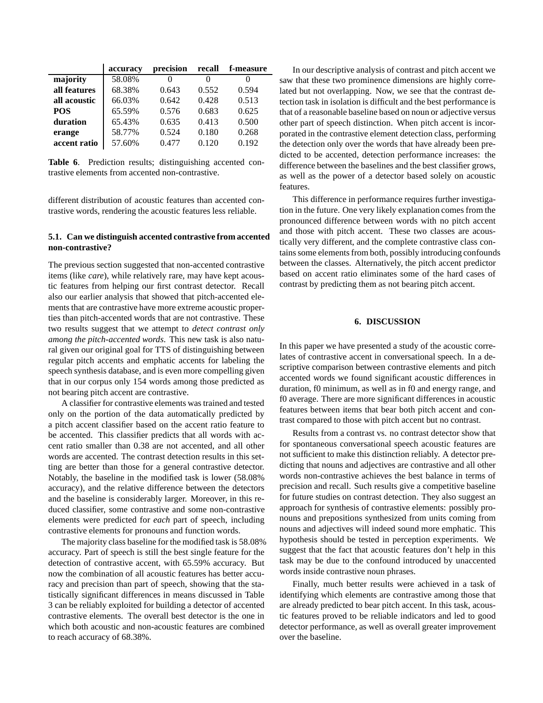|              | accuracy | precision | recall            | f-measure |
|--------------|----------|-----------|-------------------|-----------|
| majority     | 58.08%   | $\theta$  | $\mathbf{\Omega}$ |           |
| all features | 68.38%   | 0.643     | 0.552             | 0.594     |
| all acoustic | 66.03%   | 0.642     | 0.428             | 0.513     |
| <b>POS</b>   | 65.59%   | 0.576     | 0.683             | 0.625     |
| duration     | 65.43%   | 0.635     | 0.413             | 0.500     |
| erange       | 58.77%   | 0.524     | 0.180             | 0.268     |
| accent ratio | 57.60%   | 0.477     | 0.120             | 0.192     |

**Table 6**. Prediction results; distinguishing accented contrastive elements from accented non-contrastive.

different distribution of acoustic features than accented contrastive words, rendering the acoustic features less reliable.

## **5.1. Can we distinguish accented contrastive from accented non-contrastive?**

The previous section suggested that non-accented contrastive items (like *care*), while relatively rare, may have kept acoustic features from helping our first contrast detector. Recall also our earlier analysis that showed that pitch-accented elements that are contrastive have more extreme acoustic properties than pitch-accented words that are not contrastive. These two results suggest that we attempt to *detect contrast only among the pitch-accented words*. This new task is also natural given our original goal for TTS of distinguishing between regular pitch accents and emphatic accents for labeling the speech synthesis database, and is even more compelling given that in our corpus only 154 words among those predicted as not bearing pitch accent are contrastive.

A classifier for contrastive elements was trained and tested only on the portion of the data automatically predicted by a pitch accent classifier based on the accent ratio feature to be accented. This classifier predicts that all words with accent ratio smaller than 0.38 are not accented, and all other words are accented. The contrast detection results in this setting are better than those for a general contrastive detector. Notably, the baseline in the modified task is lower (58.08% accuracy), and the relative difference between the detectors and the baseline is considerably larger. Moreover, in this reduced classifier, some contrastive and some non-contrastive elements were predicted for *each* part of speech, including contrastive elements for pronouns and function words.

The majority class baseline for the modified task is 58.08% accuracy. Part of speech is still the best single feature for the detection of contrastive accent, with 65.59% accuracy. But now the combination of all acoustic features has better accuracy and precision than part of speech, showing that the statistically significant differences in means discussed in Table 3 can be reliably exploited for building a detector of accented contrastive elements. The overall best detector is the one in which both acoustic and non-acoustic features are combined to reach accuracy of 68.38%.

In our descriptive analysis of contrast and pitch accent we saw that these two prominence dimensions are highly correlated but not overlapping. Now, we see that the contrast detection task in isolation is difficult and the best performance is that of a reasonable baseline based on noun or adjective versus other part of speech distinction. When pitch accent is incorporated in the contrastive element detection class, performing the detection only over the words that have already been predicted to be accented, detection performance increases: the difference between the baselines and the best classifier grows, as well as the power of a detector based solely on acoustic features.

This difference in performance requires further investigation in the future. One very likely explanation comes from the pronounced difference between words with no pitch accent and those with pitch accent. These two classes are acoustically very different, and the complete contrastive class contains some elements from both, possibly introducing confounds between the classes. Alternatively, the pitch accent predictor based on accent ratio eliminates some of the hard cases of contrast by predicting them as not bearing pitch accent.

# **6. DISCUSSION**

In this paper we have presented a study of the acoustic correlates of contrastive accent in conversational speech. In a descriptive comparison between contrastive elements and pitch accented words we found significant acoustic differences in duration, f0 minimum, as well as in f0 and energy range, and f0 average. There are more significant differences in acoustic features between items that bear both pitch accent and contrast compared to those with pitch accent but no contrast.

Results from a contrast vs. no contrast detector show that for spontaneous conversational speech acoustic features are not sufficient to make this distinction reliably. A detector predicting that nouns and adjectives are contrastive and all other words non-contrastive achieves the best balance in terms of precision and recall. Such results give a competitive baseline for future studies on contrast detection. They also suggest an approach for synthesis of contrastive elements: possibly pronouns and prepositions synthesized from units coming from nouns and adjectives will indeed sound more emphatic. This hypothesis should be tested in perception experiments. We suggest that the fact that acoustic features don't help in this task may be due to the confound introduced by unaccented words inside contrastive noun phrases.

Finally, much better results were achieved in a task of identifying which elements are contrastive among those that are already predicted to bear pitch accent. In this task, acoustic features proved to be reliable indicators and led to good detector performance, as well as overall greater improvement over the baseline.